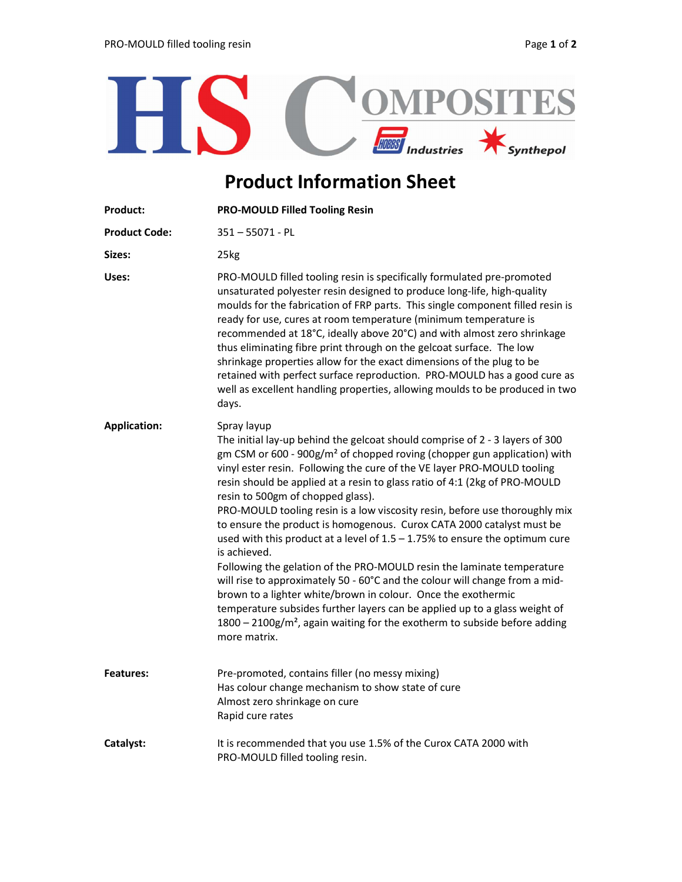

## Product Information Sheet

| Product:             | <b>PRO-MOULD Filled Tooling Resin</b>                                                                                                                                                                                                                                                                                                                                                                                                                                                                                                                                                                                                                                                                                                                                                                                                                                                                                                                                                                                                                          |  |
|----------------------|----------------------------------------------------------------------------------------------------------------------------------------------------------------------------------------------------------------------------------------------------------------------------------------------------------------------------------------------------------------------------------------------------------------------------------------------------------------------------------------------------------------------------------------------------------------------------------------------------------------------------------------------------------------------------------------------------------------------------------------------------------------------------------------------------------------------------------------------------------------------------------------------------------------------------------------------------------------------------------------------------------------------------------------------------------------|--|
| <b>Product Code:</b> | $351 - 55071 - PL$                                                                                                                                                                                                                                                                                                                                                                                                                                                                                                                                                                                                                                                                                                                                                                                                                                                                                                                                                                                                                                             |  |
| Sizes:               | 25kg                                                                                                                                                                                                                                                                                                                                                                                                                                                                                                                                                                                                                                                                                                                                                                                                                                                                                                                                                                                                                                                           |  |
| Uses:                | PRO-MOULD filled tooling resin is specifically formulated pre-promoted<br>unsaturated polyester resin designed to produce long-life, high-quality<br>moulds for the fabrication of FRP parts. This single component filled resin is<br>ready for use, cures at room temperature (minimum temperature is<br>recommended at 18°C, ideally above 20°C) and with almost zero shrinkage<br>thus eliminating fibre print through on the gelcoat surface. The low<br>shrinkage properties allow for the exact dimensions of the plug to be<br>retained with perfect surface reproduction. PRO-MOULD has a good cure as<br>well as excellent handling properties, allowing moulds to be produced in two<br>days.                                                                                                                                                                                                                                                                                                                                                       |  |
| <b>Application:</b>  | Spray layup<br>The initial lay-up behind the gelcoat should comprise of 2 - 3 layers of 300<br>gm CSM or 600 - 900g/m <sup>2</sup> of chopped roving (chopper gun application) with<br>vinyl ester resin. Following the cure of the VE layer PRO-MOULD tooling<br>resin should be applied at a resin to glass ratio of 4:1 (2kg of PRO-MOULD<br>resin to 500gm of chopped glass).<br>PRO-MOULD tooling resin is a low viscosity resin, before use thoroughly mix<br>to ensure the product is homogenous. Curox CATA 2000 catalyst must be<br>used with this product at a level of $1.5 - 1.75%$ to ensure the optimum cure<br>is achieved.<br>Following the gelation of the PRO-MOULD resin the laminate temperature<br>will rise to approximately 50 - 60°C and the colour will change from a mid-<br>brown to a lighter white/brown in colour. Once the exothermic<br>temperature subsides further layers can be applied up to a glass weight of<br>$1800 - 2100$ g/m <sup>2</sup> , again waiting for the exotherm to subside before adding<br>more matrix. |  |
| <b>Features:</b>     | Pre-promoted, contains filler (no messy mixing)<br>Has colour change mechanism to show state of cure<br>Almost zero shrinkage on cure<br>Rapid cure rates                                                                                                                                                                                                                                                                                                                                                                                                                                                                                                                                                                                                                                                                                                                                                                                                                                                                                                      |  |
| Catalyst:            | It is recommended that you use 1.5% of the Curox CATA 2000 with<br>PRO-MOULD filled tooling resin.                                                                                                                                                                                                                                                                                                                                                                                                                                                                                                                                                                                                                                                                                                                                                                                                                                                                                                                                                             |  |